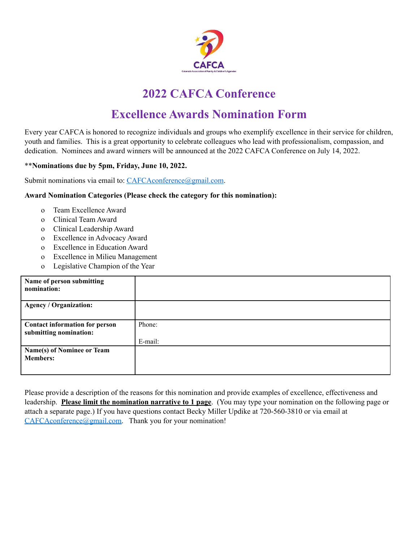

# **2022 CAFCA Conference**

# **Excellence Awards Nomination Form**

Every year CAFCA is honored to recognize individuals and groups who exemplify excellence in their service for children, youth and families. This is a great opportunity to celebrate colleagues who lead with professionalism, compassion, and dedication. Nominees and award winners will be announced at the 2022 CAFCA Conference on July 14, 2022.

#### \*\***Nominations due by 5pm, Friday, June 10, 2022.**

Submit nominations via email to: [CAFCAconference@gmail.com.](mailto:CAFCAconference@gmail.com)

#### **Award Nomination Categories (Please check the category for this nomination):**

- o Team Excellence Award
- o Clinical Team Award
- o Clinical Leadership Award
- o Excellence in Advocacy Award
- o Excellence in Education Award
- o Excellence in Milieu Management
- o Legislative Champion of the Year

| Name of person submitting<br>nomination:                        |         |
|-----------------------------------------------------------------|---------|
| <b>Agency / Organization:</b>                                   |         |
| <b>Contact information for person</b><br>submitting nomination: | Phone:  |
|                                                                 | E-mail: |
| Name(s) of Nominee or Team<br><b>Members:</b>                   |         |

Please provide a description of the reasons for this nomination and provide examples of excellence, effectiveness and leadership. **Please limit the nomination narrative to 1 page**. (You may type your nomination on the following page or attach a separate page.) If you have questions contact Becky Miller Updike at 720-560-3810 or via email at [CAFCAconference@gmail.com.](mailto:CAFCAconference@gmail.com) Thank you for your nomination!